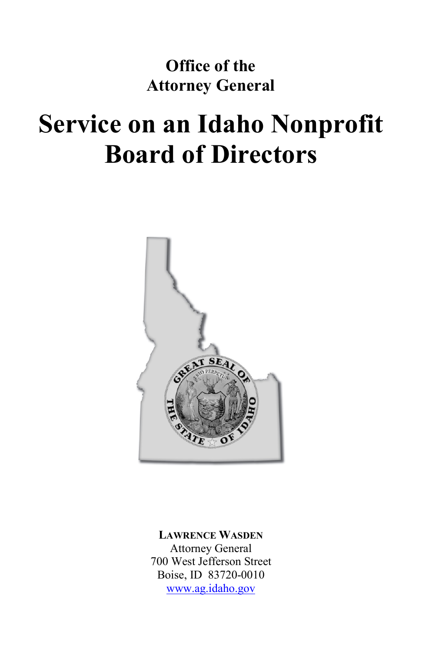# **Office of the Attorney General**

# **Service on an Idaho Nonprofit Board of Directors**



**LAWRENCE WASDEN** Attorney General 700 West Jefferson Street Boise, ID 83720-0010 www.ag.idaho.gov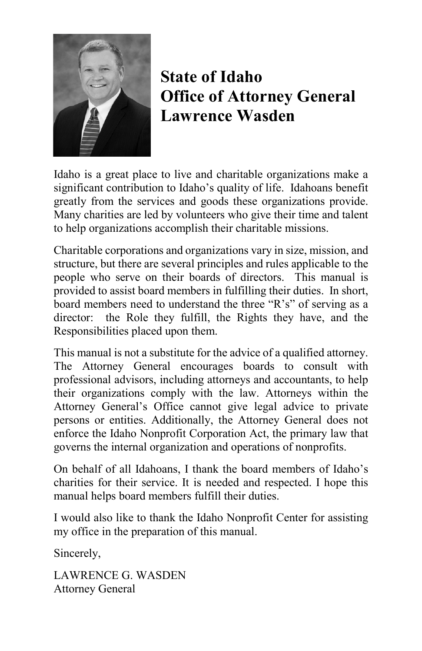

# **State of Idaho Office of Attorney General Lawrence Wasden**

Idaho is a great place to live and charitable organizations make a significant contribution to Idaho's quality of life. Idahoans benefit greatly from the services and goods these organizations provide. Many charities are led by volunteers who give their time and talent to help organizations accomplish their charitable missions.

Charitable corporations and organizations vary in size, mission, and structure, but there are several principles and rules applicable to the people who serve on their boards of directors. This manual is provided to assist board members in fulfilling their duties. In short, board members need to understand the three "R's" of serving as a director: the Role they fulfill, the Rights they have, and the Responsibilities placed upon them.

This manual is not a substitute for the advice of a qualified attorney. The Attorney General encourages boards to consult with professional advisors, including attorneys and accountants, to help their organizations comply with the law. Attorneys within the Attorney General's Office cannot give legal advice to private persons or entities. Additionally, the Attorney General does not enforce the Idaho Nonprofit Corporation Act, the primary law that governs the internal organization and operations of nonprofits.

On behalf of all Idahoans, I thank the board members of Idaho's charities for their service. It is needed and respected. I hope this manual helps board members fulfill their duties.

I would also like to thank the Idaho Nonprofit Center for assisting my office in the preparation of this manual.

Sincerely,

LAWRENCE G. WASDEN Attorney General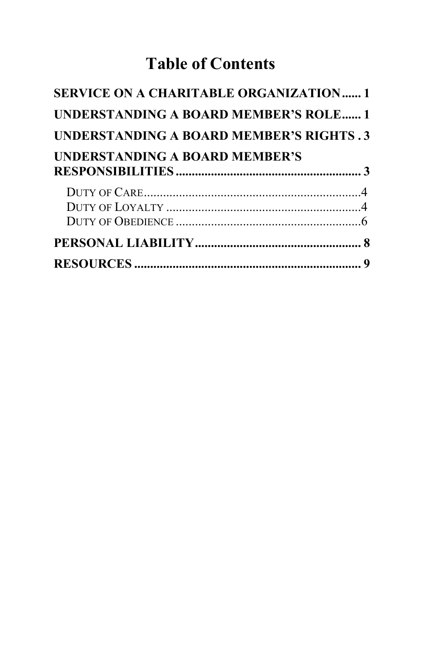# **Table of Contents**

| <b>SERVICE ON A CHARITABLE ORGANIZATION1</b>   |  |
|------------------------------------------------|--|
| UNDERSTANDING A BOARD MEMBER'S ROLE 1          |  |
| <b>UNDERSTANDING A BOARD MEMBER'S RIGHTS.3</b> |  |
| <b>UNDERSTANDING A BOARD MEMBER'S</b>          |  |
|                                                |  |
|                                                |  |
|                                                |  |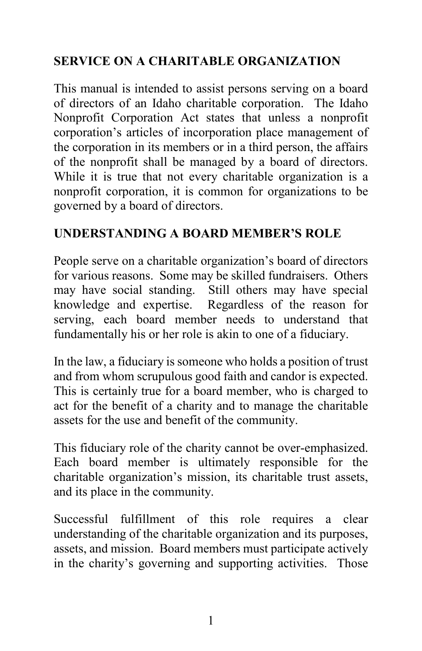## **SERVICE ON A CHARITABLE ORGANIZATION**

This manual is intended to assist persons serving on a board of directors of an Idaho charitable corporation. The Idaho Nonprofit Corporation Act states that unless a nonprofit corporation's articles of incorporation place management of the corporation in its members or in a third person, the affairs of the nonprofit shall be managed by a board of directors. While it is true that not every charitable organization is a nonprofit corporation, it is common for organizations to be governed by a board of directors.

#### **UNDERSTANDING A BOARD MEMBER'S ROLE**

People serve on a charitable organization's board of directors for various reasons. Some may be skilled fundraisers. Others may have social standing. Still others may have special knowledge and expertise. Regardless of the reason for serving, each board member needs to understand that fundamentally his or her role is akin to one of a fiduciary.

In the law, a fiduciary is someone who holds a position of trust and from whom scrupulous good faith and candor is expected. This is certainly true for a board member, who is charged to act for the benefit of a charity and to manage the charitable assets for the use and benefit of the community.

This fiduciary role of the charity cannot be over-emphasized. Each board member is ultimately responsible for the charitable organization's mission, its charitable trust assets, and its place in the community.

Successful fulfillment of this role requires a clear understanding of the charitable organization and its purposes, assets, and mission. Board members must participate actively in the charity's governing and supporting activities. Those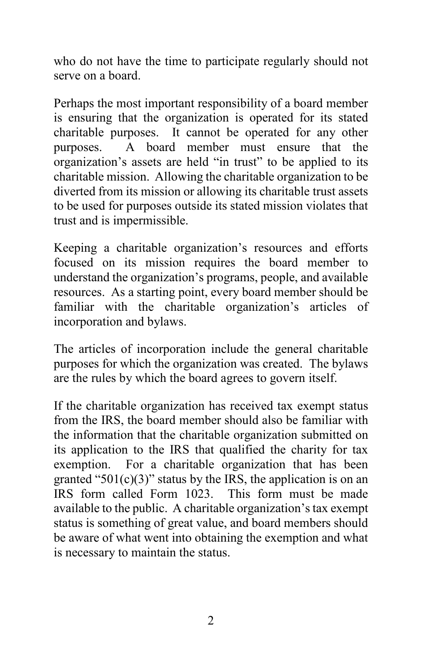who do not have the time to participate regularly should not serve on a board.

Perhaps the most important responsibility of a board member is ensuring that the organization is operated for its stated charitable purposes. It cannot be operated for any other purposes. A board member must ensure that the organization's assets are held "in trust" to be applied to its charitable mission. Allowing the charitable organization to be diverted from its mission or allowing its charitable trust assets to be used for purposes outside its stated mission violates that trust and is impermissible.

Keeping a charitable organization's resources and efforts focused on its mission requires the board member to understand the organization's programs, people, and available resources. As a starting point, every board member should be familiar with the charitable organization's articles of incorporation and bylaws.

The articles of incorporation include the general charitable purposes for which the organization was created. The bylaws are the rules by which the board agrees to govern itself.

If the charitable organization has received tax exempt status from the IRS, the board member should also be familiar with the information that the charitable organization submitted on its application to the IRS that qualified the charity for tax exemption. For a charitable organization that has been granted "501 $(c)(3)$ " status by the IRS, the application is on an IRS form called Form 1023. This form must be made available to the public. A charitable organization's tax exempt status is something of great value, and board members should be aware of what went into obtaining the exemption and what is necessary to maintain the status.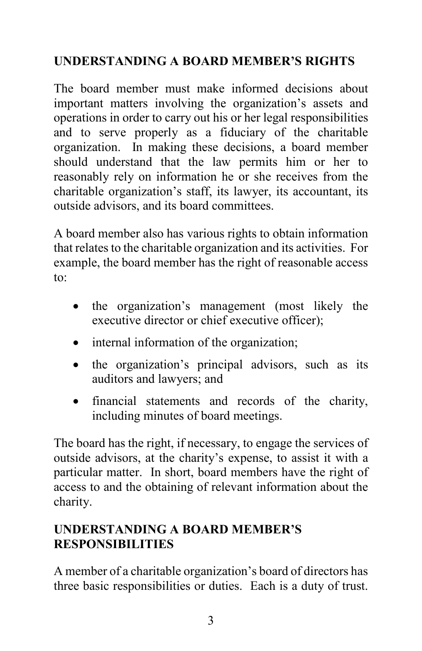## **UNDERSTANDING A BOARD MEMBER'S RIGHTS**

The board member must make informed decisions about important matters involving the organization's assets and operations in order to carry out his or her legal responsibilities and to serve properly as a fiduciary of the charitable organization. In making these decisions, a board member should understand that the law permits him or her to reasonably rely on information he or she receives from the charitable organization's staff, its lawyer, its accountant, its outside advisors, and its board committees.

A board member also has various rights to obtain information that relates to the charitable organization and its activities. For example, the board member has the right of reasonable access to:

- the organization's management (most likely the executive director or chief executive officer);
- internal information of the organization;
- the organization's principal advisors, such as its auditors and lawyers; and
- financial statements and records of the charity, including minutes of board meetings.

The board has the right, if necessary, to engage the services of outside advisors, at the charity's expense, to assist it with a particular matter. In short, board members have the right of access to and the obtaining of relevant information about the charity.

## **UNDERSTANDING A BOARD MEMBER'S RESPONSIBILITIES**

A member of a charitable organization's board of directors has three basic responsibilities or duties. Each is a duty of trust.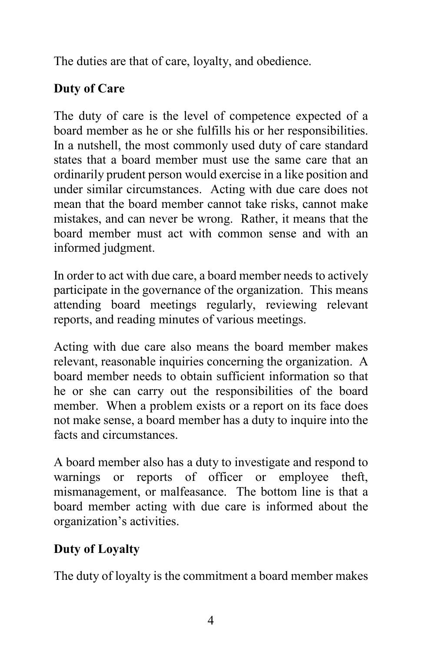The duties are that of care, loyalty, and obedience.

## **Duty of Care**

The duty of care is the level of competence expected of a board member as he or she fulfills his or her responsibilities. In a nutshell, the most commonly used duty of care standard states that a board member must use the same care that an ordinarily prudent person would exercise in a like position and under similar circumstances. Acting with due care does not mean that the board member cannot take risks, cannot make mistakes, and can never be wrong. Rather, it means that the board member must act with common sense and with an informed judgment.

In order to act with due care, a board member needs to actively participate in the governance of the organization. This means attending board meetings regularly, reviewing relevant reports, and reading minutes of various meetings.

Acting with due care also means the board member makes relevant, reasonable inquiries concerning the organization. A board member needs to obtain sufficient information so that he or she can carry out the responsibilities of the board member. When a problem exists or a report on its face does not make sense, a board member has a duty to inquire into the facts and circumstances.

A board member also has a duty to investigate and respond to warnings or reports of officer or employee theft, mismanagement, or malfeasance. The bottom line is that a board member acting with due care is informed about the organization's activities.

# **Duty of Loyalty**

The duty of loyalty is the commitment a board member makes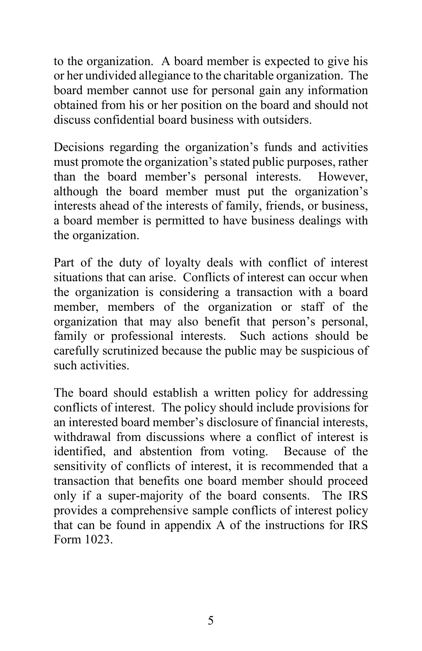to the organization. A board member is expected to give his or her undivided allegiance to the charitable organization. The board member cannot use for personal gain any information obtained from his or her position on the board and should not discuss confidential board business with outsiders.

Decisions regarding the organization's funds and activities must promote the organization's stated public purposes, rather than the board member's personal interests. However, although the board member must put the organization's interests ahead of the interests of family, friends, or business, a board member is permitted to have business dealings with the organization.

Part of the duty of loyalty deals with conflict of interest situations that can arise. Conflicts of interest can occur when the organization is considering a transaction with a board member, members of the organization or staff of the organization that may also benefit that person's personal, family or professional interests. Such actions should be carefully scrutinized because the public may be suspicious of such activities.

The board should establish a written policy for addressing conflicts of interest. The policy should include provisions for an interested board member's disclosure of financial interests, withdrawal from discussions where a conflict of interest is identified, and abstention from voting. Because of the sensitivity of conflicts of interest, it is recommended that a transaction that benefits one board member should proceed only if a super-majority of the board consents. The IRS provides a comprehensive sample conflicts of interest policy that can be found in appendix A of the instructions for IRS Form 1023.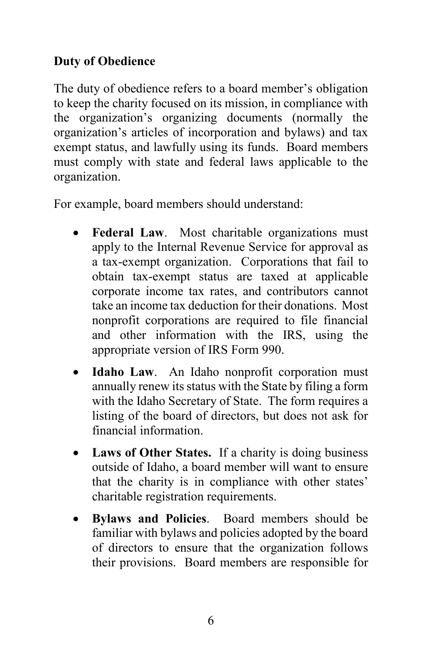#### **Duty of Obedience**

The duty of obedience refers to a board member's obligation to keep the charity focused on its mission, in compliance with the organization's organizing documents (normally the organization's articles of incorporation and bylaws) and tax exempt status, and lawfully using its funds. Board members must comply with state and federal laws applicable to the organization.

For example, board members should understand:

- **Federal Law**. Most charitable organizations must apply to the Internal Revenue Service for approval as a tax-exempt organization. Corporations that fail to obtain tax-exempt status are taxed at applicable corporate income tax rates, and contributors cannot take an income tax deduction for their donations. Most nonprofit corporations are required to file financial and other information with the IRS, using the appropriate version of IRS Form 990.
- **Idaho Law**. An Idaho nonprofit corporation must annually renew its status with the State by filing a form with the Idaho Secretary of State. The form requires a listing of the board of directors, but does not ask for financial information.
- **Laws of Other States.** If a charity is doing business outside of Idaho, a board member will want to ensure that the charity is in compliance with other states' charitable registration requirements.
- **Bylaws and Policies**. Board members should be familiar with bylaws and policies adopted by the board of directors to ensure that the organization follows their provisions. Board members are responsible for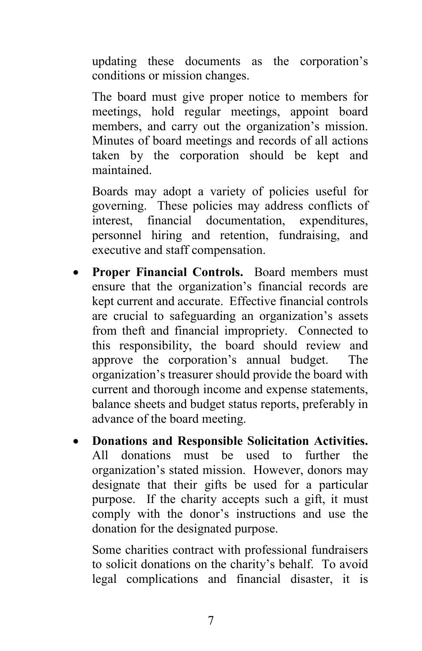updating these documents as the corporation's conditions or mission changes.

The board must give proper notice to members for meetings, hold regular meetings, appoint board members, and carry out the organization's mission. Minutes of board meetings and records of all actions taken by the corporation should be kept and maintained.

Boards may adopt a variety of policies useful for governing. These policies may address conflicts of interest, financial documentation, expenditures, personnel hiring and retention, fundraising, and executive and staff compensation.

- **Proper Financial Controls.** Board members must ensure that the organization's financial records are kept current and accurate. Effective financial controls are crucial to safeguarding an organization's assets from theft and financial impropriety. Connected to this responsibility, the board should review and approve the corporation's annual budget. The organization's treasurer should provide the board with current and thorough income and expense statements, balance sheets and budget status reports, preferably in advance of the board meeting.
- **Donations and Responsible Solicitation Activities.** All donations must be used to further the organization's stated mission. However, donors may designate that their gifts be used for a particular purpose. If the charity accepts such a gift, it must comply with the donor's instructions and use the donation for the designated purpose.

Some charities contract with professional fundraisers to solicit donations on the charity's behalf. To avoid legal complications and financial disaster, it is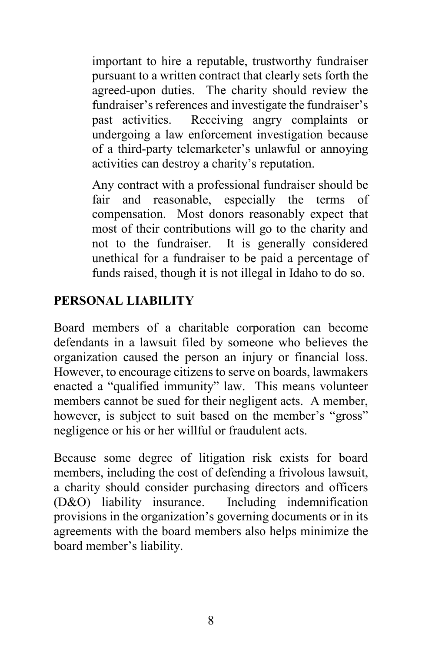important to hire a reputable, trustworthy fundraiser pursuant to a written contract that clearly sets forth the agreed-upon duties. The charity should review the fundraiser's references and investigate the fundraiser's past activities. Receiving angry complaints or undergoing a law enforcement investigation because of a third-party telemarketer's unlawful or annoying activities can destroy a charity's reputation.

Any contract with a professional fundraiser should be fair and reasonable, especially the terms of compensation. Most donors reasonably expect that most of their contributions will go to the charity and not to the fundraiser. It is generally considered unethical for a fundraiser to be paid a percentage of funds raised, though it is not illegal in Idaho to do so.

#### **PERSONAL LIABILITY**

Board members of a charitable corporation can become defendants in a lawsuit filed by someone who believes the organization caused the person an injury or financial loss. However, to encourage citizens to serve on boards, lawmakers enacted a "qualified immunity" law. This means volunteer members cannot be sued for their negligent acts. A member, however, is subject to suit based on the member's "gross" negligence or his or her willful or fraudulent acts.

Because some degree of litigation risk exists for board members, including the cost of defending a frivolous lawsuit, a charity should consider purchasing directors and officers (D&O) liability insurance. Including indemnification provisions in the organization's governing documents or in its agreements with the board members also helps minimize the board member's liability.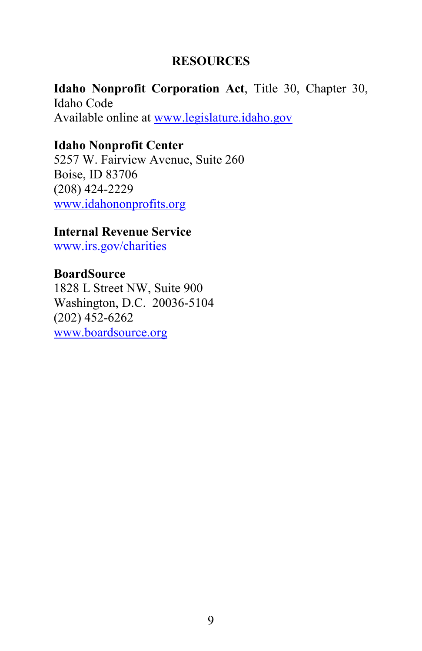#### **RESOURCES**

**Idaho Nonprofit Corporation Act**, Title 30, Chapter 30, Idaho Code Available online at www.legislature.idaho.gov

#### **Idaho Nonprofit Center**

5257 W. Fairview Avenue, Suite 260 Boise, ID 83706 (208) 424-2229 www.idahononprofits.org

#### **Internal Revenue Service**

www.irs.gov/charities

#### **BoardSource**

1828 L Street NW, Suite 900 Washington, D.C. 20036-5104 (202) 452-6262 www.boardsource.org